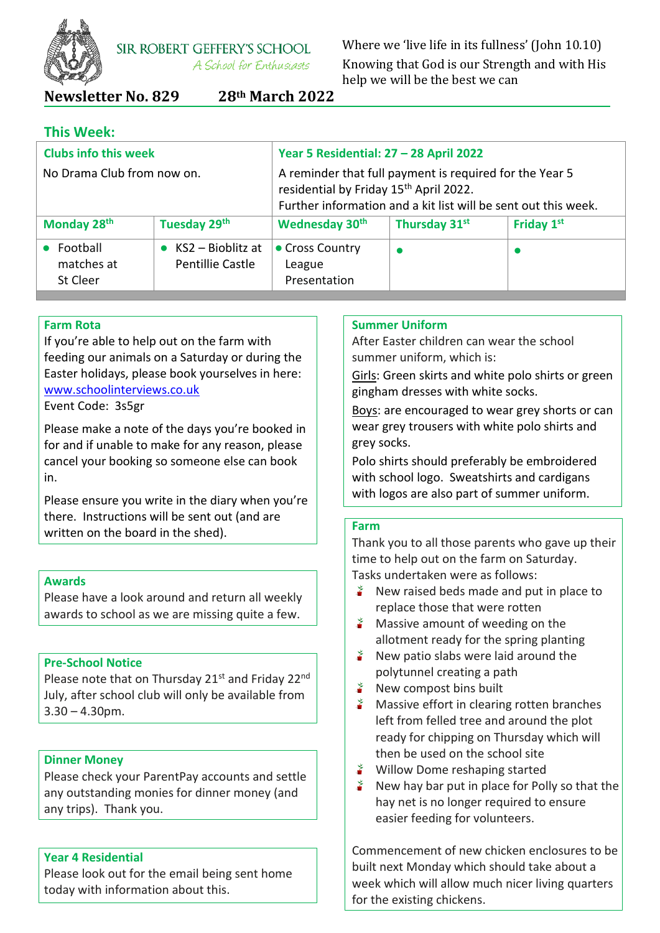

**SIR ROBERT GEFFERY'S SCHOOL** A School for Enthusiasts Where we 'live life in its fullness' (John 10.10) Knowing that God is our Strength and with His help we will be the best we can

**Newsletter No. 829 28th March 2022**

## **This Week:**

| <b>Clubs info this week</b>        |                                                 | Year 5 Residential: 27 - 28 April 2022                                                                                                                                          |               |            |
|------------------------------------|-------------------------------------------------|---------------------------------------------------------------------------------------------------------------------------------------------------------------------------------|---------------|------------|
| No Drama Club from now on.         |                                                 | A reminder that full payment is required for the Year 5<br>residential by Friday 15 <sup>th</sup> April 2022.<br>Further information and a kit list will be sent out this week. |               |            |
| Monday 28 <sup>th</sup>            | Tuesday 29th                                    | Wednesday 30 <sup>th</sup>                                                                                                                                                      | Thursday 31st | Friday 1st |
| Football<br>matches at<br>St Cleer | $\bullet$ KS2 – Bioblitz at<br>Pentillie Castle | • Cross Country<br>League<br>Presentation                                                                                                                                       |               |            |

## **Farm Rota**

If you're able to help out on the farm with feeding our animals on a Saturday or during the Easter holidays, please book yourselves in here: [www.schoolinterviews.co.uk](http://www.schoolinterviews.co.uk/) Event Code: 3s5gr

Please make a note of the days you're booked in for and if unable to make for any reason, please cancel your booking so someone else can book in.

Please ensure you write in the diary when you're there. Instructions will be sent out (and are written on the board in the shed).

## **Awards**

Please have a look around and return all weekly awards to school as we are missing quite a few.

## **Pre-School Notice**

Please note that on Thursday 21<sup>st</sup> and Friday 22<sup>nd</sup> July, after school club will only be available from  $3.30 - 4.30$ pm.

## **Dinner Money**

Please check your ParentPay accounts and settle any outstanding monies for dinner money (and any trips). Thank you.

## **Year 4 Residential**

Please look out for the email being sent home today with information about this.

## **Summer Uniform**

After Easter children can wear the school summer uniform, which is:

Girls: Green skirts and white polo shirts or green gingham dresses with white socks.

Boys: are encouraged to wear grey shorts or can wear grey trousers with white polo shirts and grey socks.

Polo shirts should preferably be embroidered with school logo. Sweatshirts and cardigans with logos are also part of summer uniform.

#### **Farm**

Thank you to all those parents who gave up their time to help out on the farm on Saturday. Tasks undertaken were as follows:

- $\bullet$  New raised beds made and put in place to replace those that were rotten
- $\bullet$  Massive amount of weeding on the allotment ready for the spring planting
- $\checkmark$  New patio slabs were laid around the polytunnel creating a path
- $\bullet$  New compost bins built
- $\bullet$  Massive effort in clearing rotten branches left from felled tree and around the plot ready for chipping on Thursday which will then be used on the school site
- $\bullet$  Willow Dome reshaping started
- $\bullet$  New hay bar put in place for Polly so that the hay net is no longer required to ensure easier feeding for volunteers.

Commencement of new chicken enclosures to be built next Monday which should take about a week which will allow much nicer living quarters for the existing chickens.